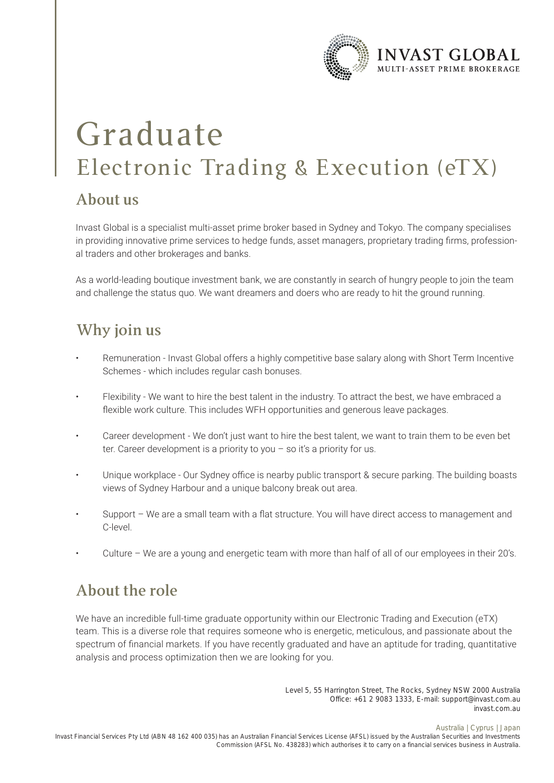

# Graduate Electronic Trading & Execution (eTX)

#### **About us**

Invast Global is a specialist multi-asset prime broker based in Sydney and Tokyo. The company specialises in providing innovative prime services to hedge funds, asset managers, proprietary trading firms, professional traders and other brokerages and banks.

As a world-leading boutique investment bank, we are constantly in search of hungry people to join the team and challenge the status quo. We want dreamers and doers who are ready to hit the ground running.

### **Why join us**

- Remuneration Invast Global offers a highly competitive base salary along with Short Term Incentive Schemes - which includes regular cash bonuses.
- Flexibility We want to hire the best talent in the industry. To attract the best, we have embraced a flexible work culture. This includes WFH opportunities and generous leave packages.
- Career development We don't just want to hire the best talent, we want to train them to be even bet ter. Career development is a priority to you – so it's a priority for us.
- Unique workplace Our Sydney office is nearby public transport & secure parking. The building boasts views of Sydney Harbour and a unique balcony break out area.
- Support We are a small team with a flat structure. You will have direct access to management and C-level.
- Culture We are a young and energetic team with more than half of all of our employees in their 20's.

# **About the role**

We have an incredible full-time graduate opportunity within our Electronic Trading and Execution (eTX) team. This is a diverse role that requires someone who is energetic, meticulous, and passionate about the spectrum of financial markets. If you have recently graduated and have an aptitude for trading, quantitative analysis and process optimization then we are looking for you.